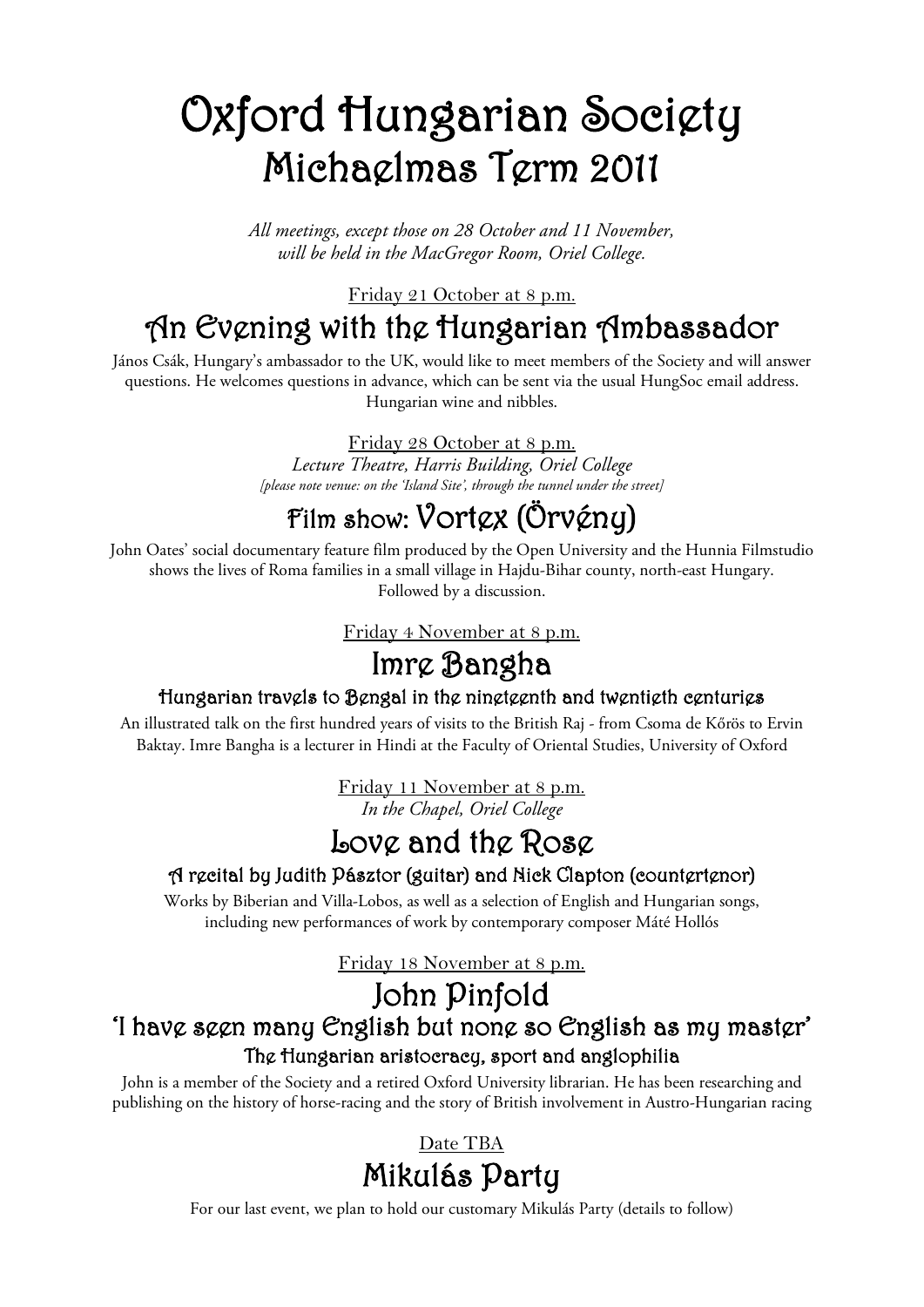## Oxford Hungarian Society Michaelmas Term 2011

*All meetings, except those on 28 October and 11 November, will be held in the MacGregor Room, Oriel College.*

Friday 21 October at 8 p.m.

### An Evening with the Hungarian Ambassador

János Csák, Hungary's ambassador to the UK, would like to meet members of the Society and will answer questions. He welcomes questions in advance, which can be sent via the usual HungSoc email address. Hungarian wine and nibbles.

Friday 28 October at 8 p.m.

*Lecture Theatre, Harris Building, Oriel College [please note venue: on the 'Island Site', through the tunnel under the street]*

### Film show: Vortex (Örvény)

John Oates' social documentary feature film produced by the Open University and the Hunnia Filmstudio shows the lives of Roma families in a small village in Hajdu-Bihar county, north-east Hungary. Followed by a discussion.

Friday 4 November at 8 p.m.

### Imre Bangha

### Hungarian travels to Bengal in the nineteenth and twentieth centuries

An illustrated talk on the first hundred years of visits to the British Raj - from Csoma de Kőrös to Ervin Baktay. Imre Bangha is a lecturer in Hindi at the Faculty of Oriental Studies, University of Oxford

> *In the Chapel, Oriel College* Friday 11 November at 8 p.m.

# **Love and the Rose**<br>A recital by Judith Pásztor (guitar) and Nick Clapton (countertenor)

Works by Biberian and Villa-Lobos, as well as a selection of English and Hungarian songs, including new performances of work by contemporary composer Máté Hollós

Friday 18 November at 8 p.m.

### John Pinfold

### 'I have seen many English but none so English as my master' The Hungarian aristocracy, sport and anglophilia

John is a member of the Society and a retired Oxford University librarian. He has been researching and publishing on the history of horse-racing and the story of British involvement in Austro-Hungarian racing

### Mikulás Party Date TBA

For our last event, we plan to hold our customary Mikulás Party (details to follow)